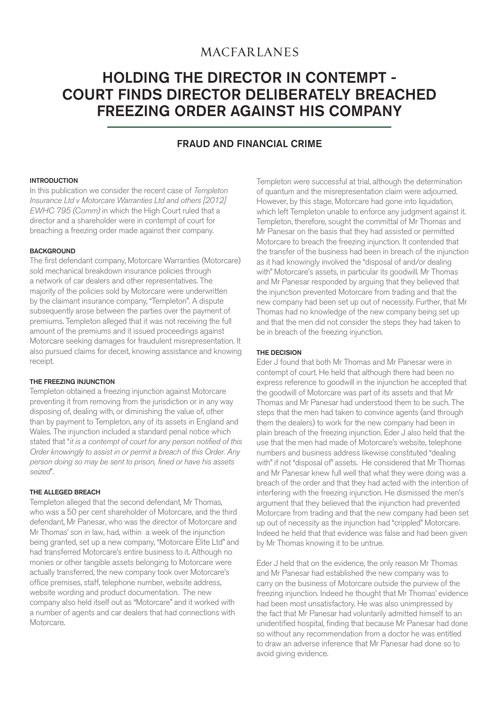## **MACFARLANES**

# HOLDING THE DIRECTOR IN CONTEMPT - [COURT FINDS DIRECTOR DELIBERATELY BREACHED](http://www.macfarlanes.com/practice-areas/litigation-and-dispute-resolution.aspx)  FREEZING ORDER AGAINST HIS COMPANY

## FRAUD AND FINANCIAL CRIME

## INTRODUCTION

In this publication we consider the recent case of Templeton Insurance Ltd v Motorcare Warranties Ltd and others [2012] EWHC 795 (Comm) in which the High Court ruled that a director and a shareholder were in contempt of court for breaching a freezing order made against their company.

### **BACKGROUND**

The first defendant company, Motorcare Warranties (Motorcare) sold mechanical breakdown insurance policies through a network of car dealers and other representatives. The majority of the policies sold by Motorcare were underwritten by the claimant insurance company, "Templeton". A dispute subsequently arose between the parties over the payment of premiums. Templeton alleged that it was not receiving the full amount of the premiums and it issued proceedings against Motorcare seeking damages for fraudulent misrepresentation. It also pursued claims for deceit, knowing assistance and knowing receipt.

## THE FREEZING INJUNCTION

Templeton obtained a freezing injunction against Motorcare preventing it from removing from the jurisdiction or in any way disposing of, dealing with, or diminishing the value of, other than by payment to Templeton, any of its assets in England and Wales. The injunction included a standard penal notice which stated that "it is a contempt of court for any person notified of this Order knowingly to assist in or permit a breach of this Order. Any person doing so may be sent to prison, fined or have his assets seized".

## THE ALLEGED BREACH

Templeton alleged that the second defendant, Mr Thomas, who was a 50 per cent shareholder of Motorcare, and the third defendant, Mr Panesar, who was the director of Motorcare and Mr Thomas' son in law, had, within a week of the injunction being granted, set up a new company, "Motorcare Elite Ltd" and had transferred Motorcare's entire business to it. Although no monies or other tangible assets belonging to Motorcare were actually transferred, the new company took over Motorcare's office premises, staff, telephone number, website address, website wording and product documentation. The new company also held itself out as "Motorcare" and it worked with a number of agents and car dealers that had connections with **Motorcare** 

Templeton were successful at trial, although the determination of quantum and the misrepresentation claim were adjourned. However, by this stage, Motorcare had gone into liquidation, which left Templeton unable to enforce any judgment against it. Templeton, therefore, sought the committal of Mr Thomas and Mr Panesar on the basis that they had assisted or permitted Motorcare to breach the freezing injunction. It contended that the transfer of the business had been in breach of the injunction as it had knowingly involved the "disposal of and/or dealing with" Motorcare's assets, in particular its goodwill. Mr Thomas and Mr Panesar responded by arguing that they believed that the injunction prevented Motorcare from trading and that the new company had been set up out of necessity. Further, that Mr Thomas had no knowledge of the new company being set up and that the men did not consider the steps they had taken to be in breach of the freezing injunction.

## THE DECISION

Eder J found that both Mr Thomas and Mr Panesar were in contempt of court. He held that although there had been no express reference to goodwill in the injunction he accepted that the goodwill of Motorcare was part of its assets and that Mr Thomas and Mr Panesar had understood them to be such. The steps that the men had taken to convince agents (and through them the dealers) to work for the new company had been in plain breach of the freezing injunction. Eder J also held that the use that the men had made of Motorcare's website, telephone numbers and business address likewise constituted "dealing with" if not "disposal of" assets. He considered that Mr Thomas and Mr Panesar knew full well that what they were doing was a breach of the order and that they had acted with the intention of interfering with the freezing injunction. He dismissed the men's argument that they believed that the injunction had prevented Motorcare from trading and that the new company had been set up out of necessity as the injunction had "crippled" Motorcare. Indeed he held that that evidence was false and had been given by Mr Thomas knowing it to be untrue.

Eder J held that on the evidence, the only reason Mr Thomas and Mr Panesar had established the new company was to carry on the business of Motorcare outside the purview of the freezing injunction. Indeed he thought that Mr Thomas' evidence had been most unsatisfactory. He was also unimpressed by the fact that Mr Panesar had voluntarily admitted himself to an unidentified hospital, finding that because Mr Panesar had done so without any recommendation from a doctor he was entitled to draw an adverse inference that Mr Panesar had done so to avoid giving evidence.